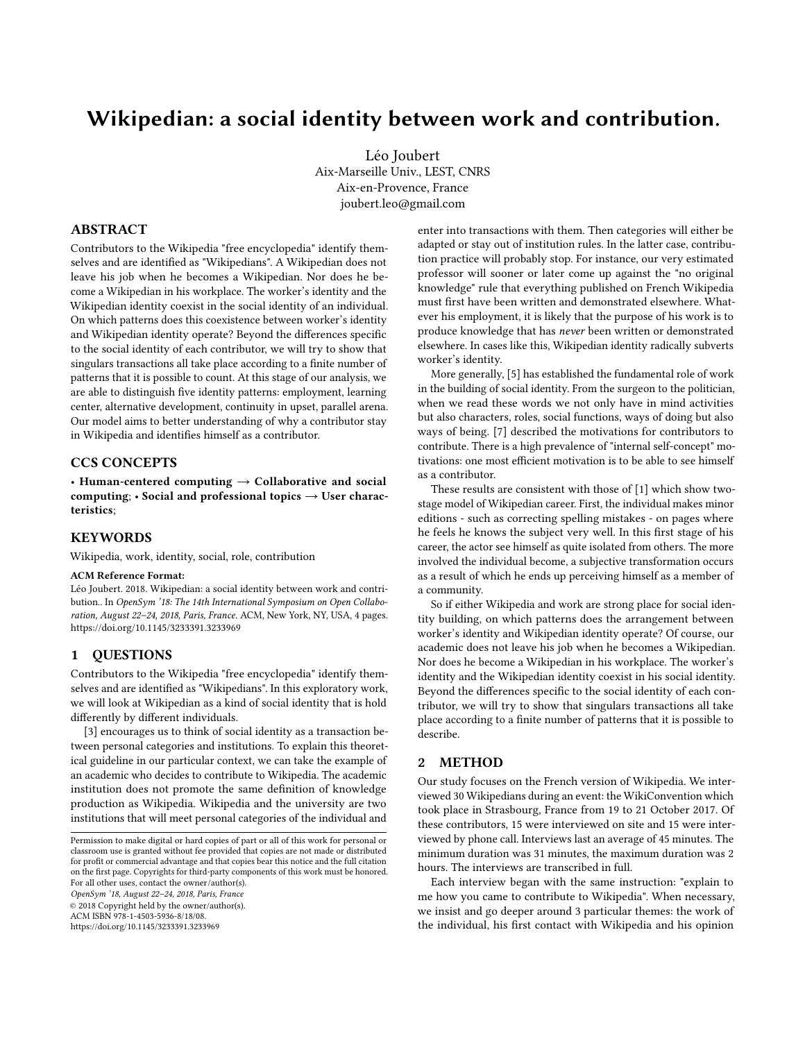# Wikipedian: a social identity between work and contribution.

Léo Joubert Aix-Marseille Univ., LEST, CNRS Aix-en-Provence, France joubert.leo@gmail.com

#### ABSTRACT

Contributors to the Wikipedia "free encyclopedia" identify themselves and are identified as "Wikipedians". A Wikipedian does not leave his job when he becomes a Wikipedian. Nor does he become a Wikipedian in his workplace. The worker's identity and the Wikipedian identity coexist in the social identity of an individual. On which patterns does this coexistence between worker's identity and Wikipedian identity operate? Beyond the differences specific to the social identity of each contributor, we will try to show that singulars transactions all take place according to a finite number of patterns that it is possible to count. At this stage of our analysis, we are able to distinguish five identity patterns: employment, learning center, alternative development, continuity in upset, parallel arena. Our model aims to better understanding of why a contributor stay in Wikipedia and identifies himself as a contributor.

## CCS CONCEPTS

• Human-centered computing  $\rightarrow$  Collaborative and social computing;  $\cdot$  Social and professional topics  $\rightarrow$  User characteristics;

#### **KEYWORDS**

Wikipedia, work, identity, social, role, contribution

#### ACM Reference Format:

Léo Joubert. 2018. Wikipedian: a social identity between work and contribution.. In OpenSym '18: The 14th International Symposium on Open Collaboration, August 22–24, 2018, Paris, France. ACM, New York, NY, USA, [4](#page-3-0) pages. <https://doi.org/10.1145/3233391.3233969>

### 1 QUESTIONS

Contributors to the Wikipedia "free encyclopedia" identify themselves and are identified as "Wikipedians". In this exploratory work, we will look at Wikipedian as a kind of social identity that is hold differently by different individuals.

[\[3\]](#page-3-1) encourages us to think of social identity as a transaction between personal categories and institutions. To explain this theoretical guideline in our particular context, we can take the example of an academic who decides to contribute to Wikipedia. The academic institution does not promote the same definition of knowledge production as Wikipedia. Wikipedia and the university are two institutions that will meet personal categories of the individual and

OpenSym '18, August 22–24, 2018, Paris, France

© 2018 Copyright held by the owner/author(s). ACM ISBN 978-1-4503-5936-8/18/08.

<https://doi.org/10.1145/3233391.3233969>

enter into transactions with them. Then categories will either be adapted or stay out of institution rules. In the latter case, contribution practice will probably stop. For instance, our very estimated professor will sooner or later come up against the "no original knowledge" rule that everything published on French Wikipedia must first have been written and demonstrated elsewhere. Whatever his employment, it is likely that the purpose of his work is to produce knowledge that has never been written or demonstrated elsewhere. In cases like this, Wikipedian identity radically subverts worker's identity.

More generally, [\[5\]](#page-3-2) has established the fundamental role of work in the building of social identity. From the surgeon to the politician, when we read these words we not only have in mind activities but also characters, roles, social functions, ways of doing but also ways of being. [\[7\]](#page-3-3) described the motivations for contributors to contribute. There is a high prevalence of "internal self-concept" motivations: one most efficient motivation is to be able to see himself as a contributor.

These results are consistent with those of [\[1\]](#page-3-4) which show twostage model of Wikipedian career. First, the individual makes minor editions - such as correcting spelling mistakes - on pages where he feels he knows the subject very well. In this first stage of his career, the actor see himself as quite isolated from others. The more involved the individual become, a subjective transformation occurs as a result of which he ends up perceiving himself as a member of a community.

So if either Wikipedia and work are strong place for social identity building, on which patterns does the arrangement between worker's identity and Wikipedian identity operate? Of course, our academic does not leave his job when he becomes a Wikipedian. Nor does he become a Wikipedian in his workplace. The worker's identity and the Wikipedian identity coexist in his social identity. Beyond the differences specific to the social identity of each contributor, we will try to show that singulars transactions all take place according to a finite number of patterns that it is possible to describe.

#### 2 METHOD

Our study focuses on the French version of Wikipedia. We interviewed 30 Wikipedians during an event: the WikiConvention which took place in Strasbourg, France from 19 to 21 October 2017. Of these contributors, 15 were interviewed on site and 15 were interviewed by phone call. Interviews last an average of 45 minutes. The minimum duration was 31 minutes, the maximum duration was 2 hours. The interviews are transcribed in full.

Each interview began with the same instruction: "explain to me how you came to contribute to Wikipedia". When necessary, we insist and go deeper around 3 particular themes: the work of the individual, his first contact with Wikipedia and his opinion

Permission to make digital or hard copies of part or all of this work for personal or classroom use is granted without fee provided that copies are not made or distributed for profit or commercial advantage and that copies bear this notice and the full citation on the first page. Copyrights for third-party components of this work must be honored. For all other uses, contact the owner/author(s).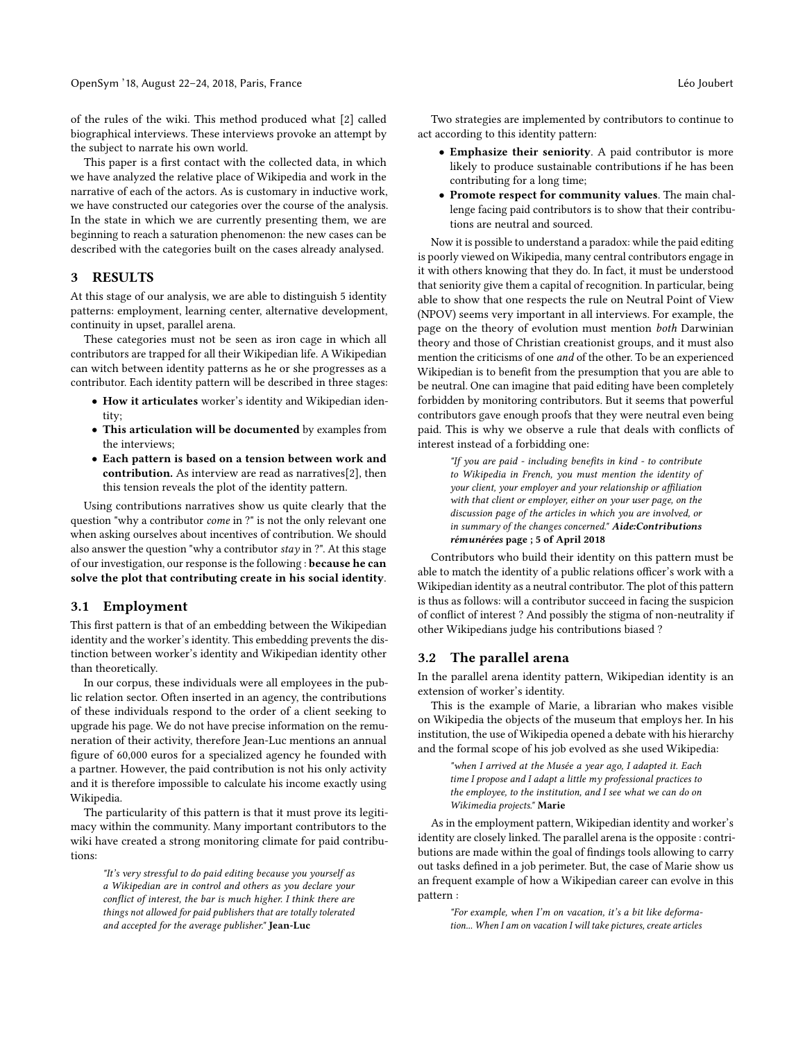of the rules of the wiki. This method produced what [\[2\]](#page-3-5) called biographical interviews. These interviews provoke an attempt by the subject to narrate his own world.

This paper is a first contact with the collected data, in which we have analyzed the relative place of Wikipedia and work in the narrative of each of the actors. As is customary in inductive work, we have constructed our categories over the course of the analysis. In the state in which we are currently presenting them, we are beginning to reach a saturation phenomenon: the new cases can be described with the categories built on the cases already analysed.

#### 3 RESULTS

At this stage of our analysis, we are able to distinguish 5 identity patterns: employment, learning center, alternative development, continuity in upset, parallel arena.

These categories must not be seen as iron cage in which all contributors are trapped for all their Wikipedian life. A Wikipedian can witch between identity patterns as he or she progresses as a contributor. Each identity pattern will be described in three stages:

- How it articulates worker's identity and Wikipedian identity;
- This articulation will be documented by examples from the interviews;
- Each pattern is based on a tension between work and contribution. As interview are read as narratives[\[2\]](#page-3-5), then this tension reveals the plot of the identity pattern.

Using contributions narratives show us quite clearly that the question "why a contributor come in ?" is not the only relevant one when asking ourselves about incentives of contribution. We should also answer the question "why a contributor stay in ?". At this stage of our investigation, our response is the following : because he can solve the plot that contributing create in his social identity.

### 3.1 Employment

This first pattern is that of an embedding between the Wikipedian identity and the worker's identity. This embedding prevents the distinction between worker's identity and Wikipedian identity other than theoretically.

In our corpus, these individuals were all employees in the public relation sector. Often inserted in an agency, the contributions of these individuals respond to the order of a client seeking to upgrade his page. We do not have precise information on the remuneration of their activity, therefore Jean-Luc mentions an annual figure of 60,000 euros for a specialized agency he founded with a partner. However, the paid contribution is not his only activity and it is therefore impossible to calculate his income exactly using Wikipedia.

The particularity of this pattern is that it must prove its legitimacy within the community. Many important contributors to the wiki have created a strong monitoring climate for paid contributions:

"It's very stressful to do paid editing because you yourself as a Wikipedian are in control and others as you declare your conflict of interest, the bar is much higher. I think there are things not allowed for paid publishers that are totally tolerated and accepted for the average publisher." Jean-Luc

- Emphasize their seniority. A paid contributor is more likely to produce sustainable contributions if he has been contributing for a long time;
- Promote respect for community values. The main challenge facing paid contributors is to show that their contributions are neutral and sourced.

Now it is possible to understand a paradox: while the paid editing is poorly viewed on Wikipedia, many central contributors engage in it with others knowing that they do. In fact, it must be understood that seniority give them a capital of recognition. In particular, being able to show that one respects the rule on Neutral Point of View (NPOV) seems very important in all interviews. For example, the page on the theory of evolution must mention both Darwinian theory and those of Christian creationist groups, and it must also mention the criticisms of one and of the other. To be an experienced Wikipedian is to benefit from the presumption that you are able to be neutral. One can imagine that paid editing have been completely forbidden by monitoring contributors. But it seems that powerful contributors gave enough proofs that they were neutral even being paid. This is why we observe a rule that deals with conflicts of interest instead of a forbidding one:

> "If you are paid - including benefits in kind - to contribute to Wikipedia in French, you must mention the identity of your client, your employer and your relationship or affiliation with that client or employer, either on your user page, on the discussion page of the articles in which you are involved, or in summary of the changes concerned." Aide:Contributions rémunérées page ; 5 of April 2018

Contributors who build their identity on this pattern must be able to match the identity of a public relations officer's work with a Wikipedian identity as a neutral contributor. The plot of this pattern is thus as follows: will a contributor succeed in facing the suspicion of conflict of interest ? And possibly the stigma of non-neutrality if other Wikipedians judge his contributions biased ?

### 3.2 The parallel arena

In the parallel arena identity pattern, Wikipedian identity is an extension of worker's identity.

This is the example of Marie, a librarian who makes visible on Wikipedia the objects of the museum that employs her. In his institution, the use of Wikipedia opened a debate with his hierarchy and the formal scope of his job evolved as she used Wikipedia:

> "when I arrived at the Musée a year ago, I adapted it. Each time I propose and I adapt a little my professional practices to the employee, to the institution, and I see what we can do on Wikimedia projects." Marie

As in the employment pattern, Wikipedian identity and worker's identity are closely linked. The parallel arena is the opposite : contributions are made within the goal of findings tools allowing to carry out tasks defined in a job perimeter. But, the case of Marie show us an frequent example of how a Wikipedian career can evolve in this pattern :

> "For example, when I'm on vacation, it's a bit like deformation... When I am on vacation I will take pictures, create articles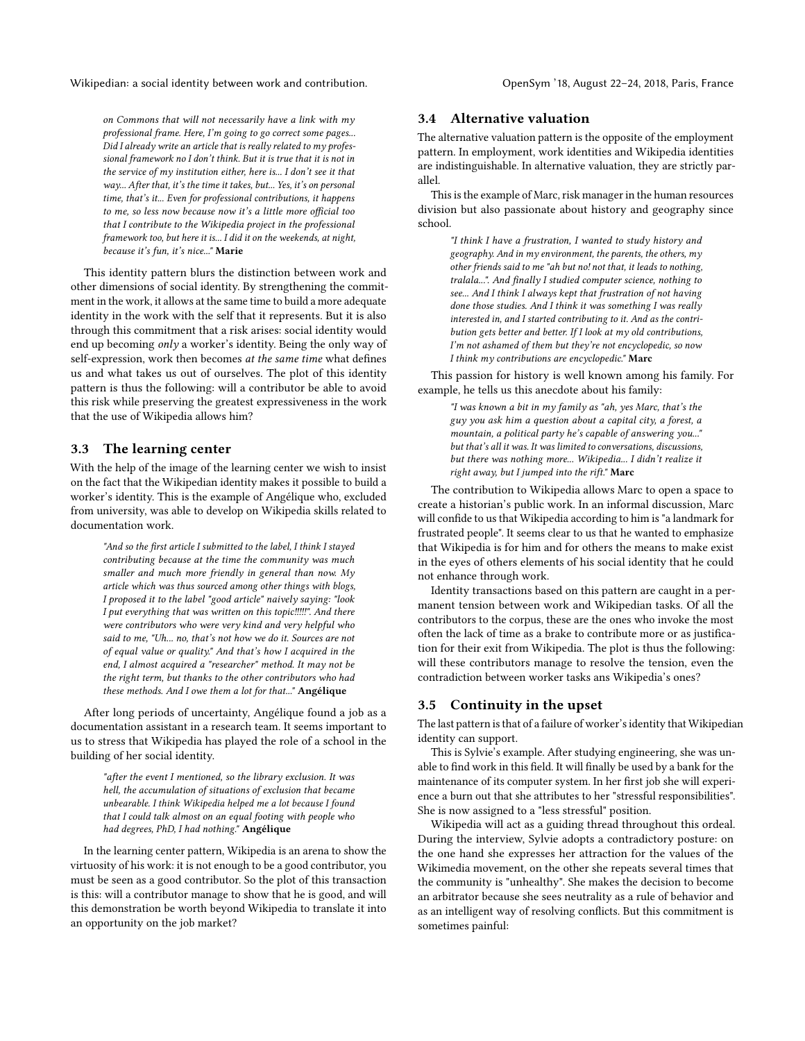Wikipedian: a social identity between work and contribution. Come Sym Muslem CopenSym '18, August 22-24, 2018, Paris, France

on Commons that will not necessarily have a link with my professional frame. Here, I'm going to go correct some pages... Did I already write an article that is really related to my professional framework no I don't think. But it is true that it is not in the service of my institution either, here is... I don't see it that way... After that, it's the time it takes, but... Yes, it's on personal time, that's it... Even for professional contributions, it happens to me, so less now because now it's a little more official too that I contribute to the Wikipedia project in the professional framework too, but here it is... I did it on the weekends, at night, because it's fun, it's nice..." Marie

This identity pattern blurs the distinction between work and other dimensions of social identity. By strengthening the commitment in the work, it allows at the same time to build a more adequate identity in the work with the self that it represents. But it is also through this commitment that a risk arises: social identity would end up becoming only a worker's identity. Being the only way of self-expression, work then becomes at the same time what defines us and what takes us out of ourselves. The plot of this identity pattern is thus the following: will a contributor be able to avoid this risk while preserving the greatest expressiveness in the work that the use of Wikipedia allows him?

## 3.3 The learning center

With the help of the image of the learning center we wish to insist on the fact that the Wikipedian identity makes it possible to build a worker's identity. This is the example of Angélique who, excluded from university, was able to develop on Wikipedia skills related to documentation work.

"And so the first article I submitted to the label, I think I stayed contributing because at the time the community was much smaller and much more friendly in general than now. My article which was thus sourced among other things with blogs, I proposed it to the label "good article" naively saying: "look I put everything that was written on this topic!!!!!". And there were contributors who were very kind and very helpful who said to me, "Uh... no, that's not how we do it. Sources are not of equal value or quality." And that's how I acquired in the end, I almost acquired a "researcher" method. It may not be the right term, but thanks to the other contributors who had these methods. And I owe them a lot for that..." Angélique

After long periods of uncertainty, Angélique found a job as a documentation assistant in a research team. It seems important to us to stress that Wikipedia has played the role of a school in the building of her social identity.

"after the event I mentioned, so the library exclusion. It was hell, the accumulation of situations of exclusion that became unbearable. I think Wikipedia helped me a lot because I found that I could talk almost on an equal footing with people who had degrees, PhD, I had nothing." Angélique

In the learning center pattern, Wikipedia is an arena to show the virtuosity of his work: it is not enough to be a good contributor, you must be seen as a good contributor. So the plot of this transaction is this: will a contributor manage to show that he is good, and will this demonstration be worth beyond Wikipedia to translate it into an opportunity on the job market?

## 3.4 Alternative valuation

The alternative valuation pattern is the opposite of the employment pattern. In employment, work identities and Wikipedia identities are indistinguishable. In alternative valuation, they are strictly parallel.

This is the example of Marc, risk manager in the human resources division but also passionate about history and geography since school.

"I think I have a frustration, I wanted to study history and geography. And in my environment, the parents, the others, my other friends said to me "ah but no! not that, it leads to nothing, tralala...". And finally I studied computer science, nothing to see... And I think I always kept that frustration of not having done those studies. And I think it was something I was really interested in, and I started contributing to it. And as the contribution gets better and better. If I look at my old contributions, I'm not ashamed of them but they're not encyclopedic, so now I think my contributions are encyclopedic." Marc

This passion for history is well known among his family. For example, he tells us this anecdote about his family:

> "I was known a bit in my family as "ah, yes Marc, that's the guy you ask him a question about a capital city, a forest, a mountain, a political party he's capable of answering you..." but that's all it was. It was limited to conversations, discussions, but there was nothing more... Wikipedia... I didn't realize it right away, but I jumped into the rift." Marc

The contribution to Wikipedia allows Marc to open a space to create a historian's public work. In an informal discussion, Marc will confide to us that Wikipedia according to him is "a landmark for frustrated people". It seems clear to us that he wanted to emphasize that Wikipedia is for him and for others the means to make exist in the eyes of others elements of his social identity that he could not enhance through work.

Identity transactions based on this pattern are caught in a permanent tension between work and Wikipedian tasks. Of all the contributors to the corpus, these are the ones who invoke the most often the lack of time as a brake to contribute more or as justification for their exit from Wikipedia. The plot is thus the following: will these contributors manage to resolve the tension, even the contradiction between worker tasks ans Wikipedia's ones?

## 3.5 Continuity in the upset

The last pattern is that of a failure of worker's identity that Wikipedian identity can support.

This is Sylvie's example. After studying engineering, she was unable to find work in this field. It will finally be used by a bank for the maintenance of its computer system. In her first job she will experience a burn out that she attributes to her "stressful responsibilities". She is now assigned to a "less stressful" position.

Wikipedia will act as a guiding thread throughout this ordeal. During the interview, Sylvie adopts a contradictory posture: on the one hand she expresses her attraction for the values of the Wikimedia movement, on the other she repeats several times that the community is "unhealthy". She makes the decision to become an arbitrator because she sees neutrality as a rule of behavior and as an intelligent way of resolving conflicts. But this commitment is sometimes painful: